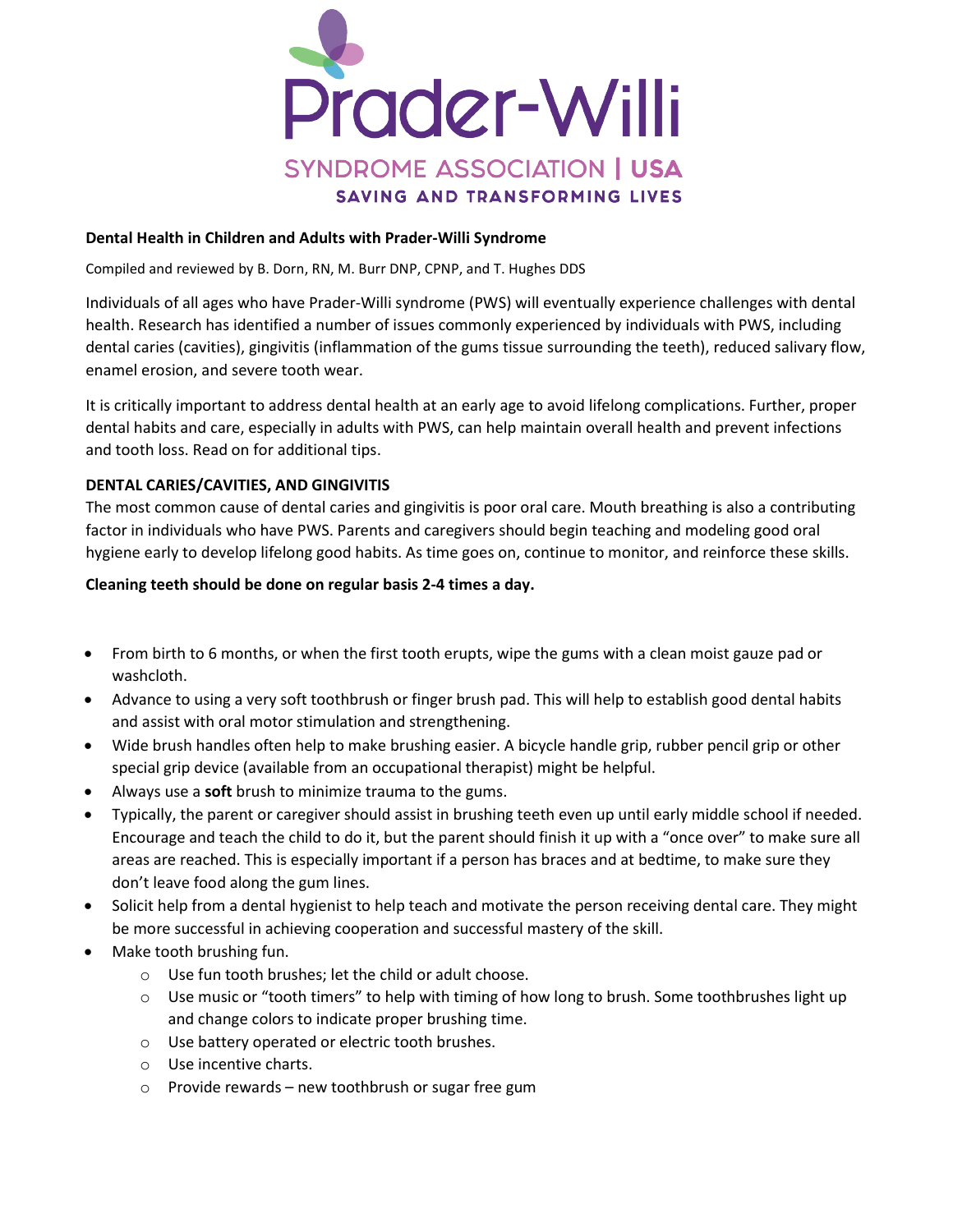

#### Dental Health in Children and Adults with Prader-Willi Syndrome

Compiled and reviewed by B. Dorn, RN, M. Burr DNP, CPNP, and T. Hughes DDS

Individuals of all ages who have Prader-Willi syndrome (PWS) will eventually experience challenges with dental health. Research has identified a number of issues commonly experienced by individuals with PWS, including dental caries (cavities), gingivitis (inflammation of the gums tissue surrounding the teeth), reduced salivary flow, enamel erosion, and severe tooth wear.

It is critically important to address dental health at an early age to avoid lifelong complications. Further, proper dental habits and care, especially in adults with PWS, can help maintain overall health and prevent infections and tooth loss. Read on for additional tips.

### DENTAL CARIES/CAVITIES, AND GINGIVITIS

The most common cause of dental caries and gingivitis is poor oral care. Mouth breathing is also a contributing factor in individuals who have PWS. Parents and caregivers should begin teaching and modeling good oral hygiene early to develop lifelong good habits. As time goes on, continue to monitor, and reinforce these skills.

#### Cleaning teeth should be done on regular basis 2-4 times a day.

- From birth to 6 months, or when the first tooth erupts, wipe the gums with a clean moist gauze pad or washcloth.
- Advance to using a very soft toothbrush or finger brush pad. This will help to establish good dental habits and assist with oral motor stimulation and strengthening.
- Wide brush handles often help to make brushing easier. A bicycle handle grip, rubber pencil grip or other special grip device (available from an occupational therapist) might be helpful.
- Always use a **soft** brush to minimize trauma to the gums.
- Typically, the parent or caregiver should assist in brushing teeth even up until early middle school if needed. Encourage and teach the child to do it, but the parent should finish it up with a "once over" to make sure all areas are reached. This is especially important if a person has braces and at bedtime, to make sure they don't leave food along the gum lines.
- Solicit help from a dental hygienist to help teach and motivate the person receiving dental care. They might be more successful in achieving cooperation and successful mastery of the skill.
- Make tooth brushing fun.
	- o Use fun tooth brushes; let the child or adult choose.
	- o Use music or "tooth timers" to help with timing of how long to brush. Some toothbrushes light up and change colors to indicate proper brushing time.
	- o Use battery operated or electric tooth brushes.
	- o Use incentive charts.
	- o Provide rewards new toothbrush or sugar free gum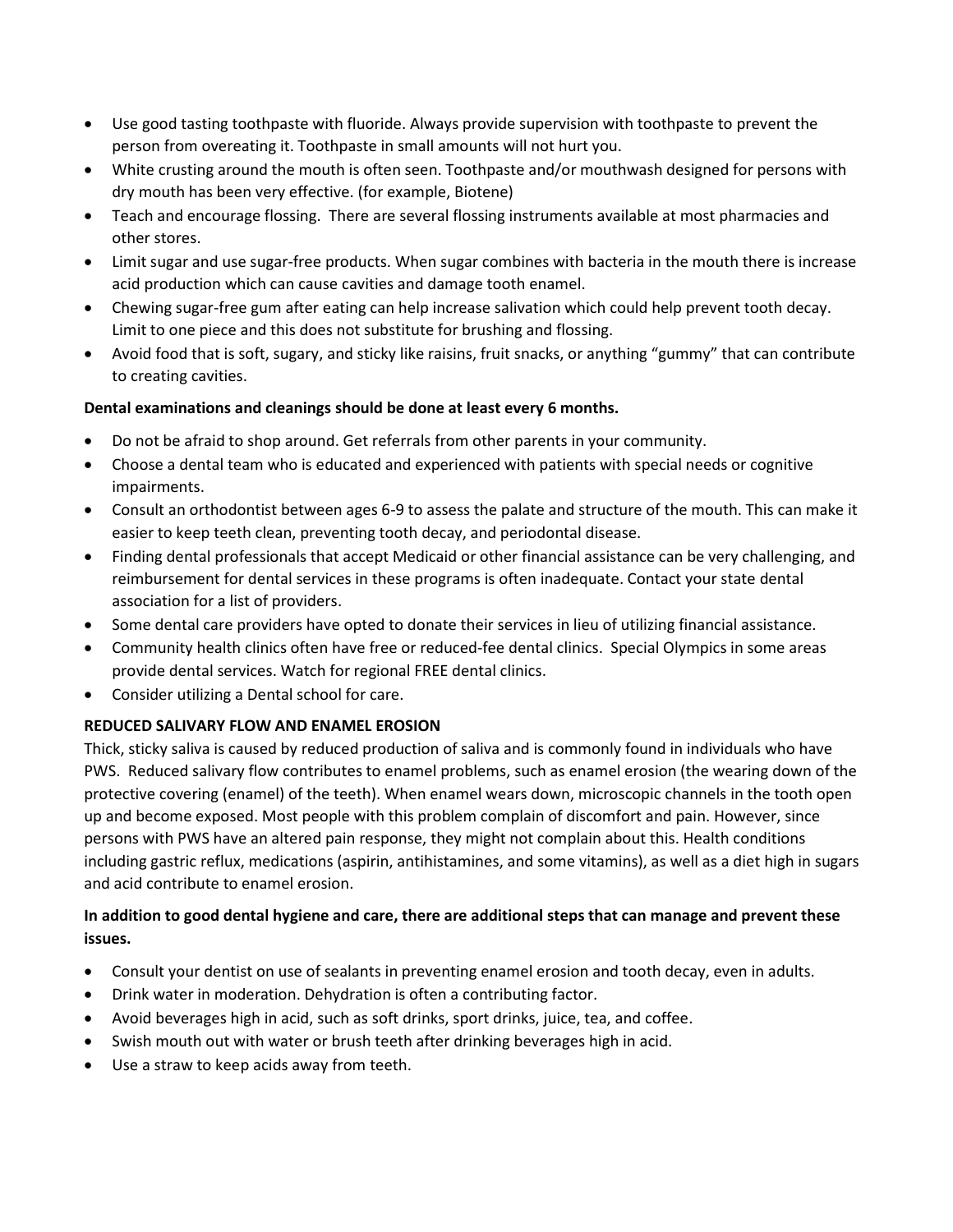- Use good tasting toothpaste with fluoride. Always provide supervision with toothpaste to prevent the person from overeating it. Toothpaste in small amounts will not hurt you.
- White crusting around the mouth is often seen. Toothpaste and/or mouthwash designed for persons with dry mouth has been very effective. (for example, Biotene)
- Teach and encourage flossing. There are several flossing instruments available at most pharmacies and other stores.
- Limit sugar and use sugar-free products. When sugar combines with bacteria in the mouth there is increase acid production which can cause cavities and damage tooth enamel.
- Chewing sugar-free gum after eating can help increase salivation which could help prevent tooth decay. Limit to one piece and this does not substitute for brushing and flossing.
- Avoid food that is soft, sugary, and sticky like raisins, fruit snacks, or anything "gummy" that can contribute to creating cavities.

## Dental examinations and cleanings should be done at least every 6 months.

- Do not be afraid to shop around. Get referrals from other parents in your community.
- Choose a dental team who is educated and experienced with patients with special needs or cognitive impairments.
- Consult an orthodontist between ages 6-9 to assess the palate and structure of the mouth. This can make it easier to keep teeth clean, preventing tooth decay, and periodontal disease.
- Finding dental professionals that accept Medicaid or other financial assistance can be very challenging, and reimbursement for dental services in these programs is often inadequate. Contact your state dental association for a list of providers.
- Some dental care providers have opted to donate their services in lieu of utilizing financial assistance.
- Community health clinics often have free or reduced-fee dental clinics. Special Olympics in some areas provide dental services. Watch for regional FREE dental clinics.
- Consider utilizing a Dental school for care.

## REDUCED SALIVARY FLOW AND ENAMEL EROSION

Thick, sticky saliva is caused by reduced production of saliva and is commonly found in individuals who have PWS. Reduced salivary flow contributes to enamel problems, such as enamel erosion (the wearing down of the protective covering (enamel) of the teeth). When enamel wears down, microscopic channels in the tooth open up and become exposed. Most people with this problem complain of discomfort and pain. However, since persons with PWS have an altered pain response, they might not complain about this. Health conditions including gastric reflux, medications (aspirin, antihistamines, and some vitamins), as well as a diet high in sugars and acid contribute to enamel erosion.

# In addition to good dental hygiene and care, there are additional steps that can manage and prevent these issues.

- Consult your dentist on use of sealants in preventing enamel erosion and tooth decay, even in adults.
- Drink water in moderation. Dehydration is often a contributing factor.
- Avoid beverages high in acid, such as soft drinks, sport drinks, juice, tea, and coffee.
- Swish mouth out with water or brush teeth after drinking beverages high in acid.
- Use a straw to keep acids away from teeth.